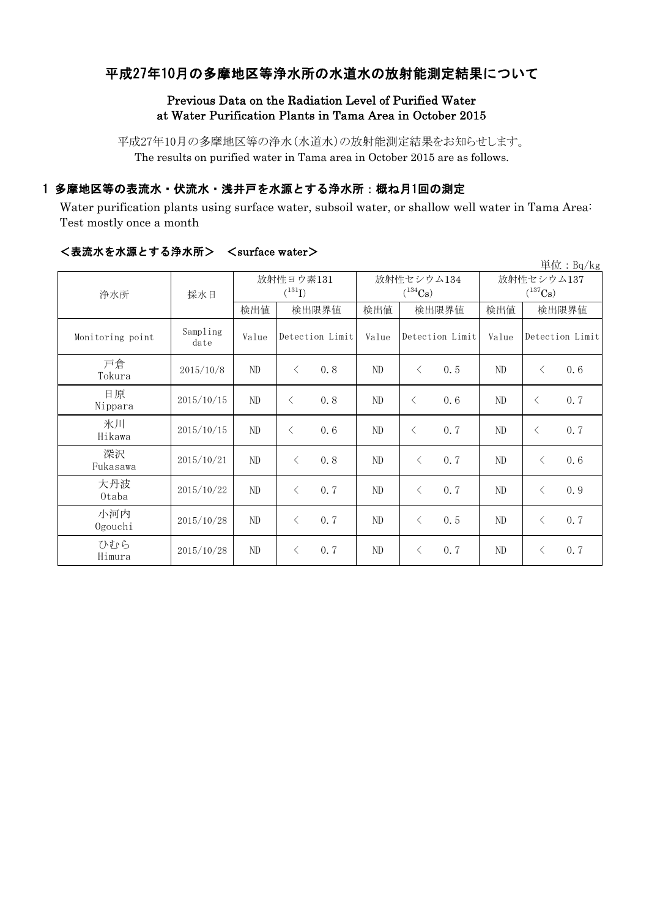## 平成27年10月の多摩地区等浄水所の水道水の放射能測定結果について

#### Previous Data on the Radiation Level of Purified Water at Water Purification Plants in Tama Area in October 2015

平成27年10月の多摩地区等の浄水(水道水)の放射能測定結果をお知らせします。 The results on purified water in Tama area in October 2015 are as follows.

## 1 多摩地区等の表流水・伏流水・浅井戸を水源とする浄水所:概ね月1回の測定

Water purification plants using surface water, subsoil water, or shallow well water in Tama Area: Test mostly once a month

| 単位: $Bq/kg$      |                  |                          |                 |     |          |                            |     |                            |                 |     |  |
|------------------|------------------|--------------------------|-----------------|-----|----------|----------------------------|-----|----------------------------|-----------------|-----|--|
| 浄水所              | 採水日              | 放射性ヨウ素131<br>$(^{131}I)$ |                 |     |          | 放射性セシウム134<br>$(^{134}Cs)$ |     | 放射性セシウム137<br>$(^{137}Cs)$ |                 |     |  |
|                  |                  | 検出値                      | 検出限界値           |     | 検出値      | 検出限界値                      |     | 検出値                        | 検出限界値           |     |  |
| Monitoring point | Sampling<br>date | Value                    | Detection Limit |     | Value    | Detection Limit            |     | Value                      | Detection Limit |     |  |
| 戸倉<br>Tokura     | 2015/10/8        | ND                       | $\langle$       | 0.8 | ND       | $\langle$                  | 0.5 | ND                         | $\langle$       | 0.6 |  |
| 日原<br>Nippara    | 2015/10/15       | $\rm ND$                 | $\langle$       | 0.8 | $\rm ND$ | $\langle$                  | 0.6 | ND                         | $\langle$       | 0.7 |  |
| 氷川<br>Hikawa     | 2015/10/15       | ND                       | $\langle$       | 0.6 | ND       | $\langle$                  | 0.7 | ND                         | $\langle$       | 0.7 |  |
| 深沢<br>Fukasawa   | 2015/10/21       | ND                       | $\langle$       | 0.8 | ND       | $\langle$                  | 0.7 | ND                         | $\langle$       | 0.6 |  |
| 大丹波<br>0taba     | 2015/10/22       | ND                       | $\langle$       | 0.7 | ND       | $\langle$                  | 0.7 | ND                         | $\lt$           | 0.9 |  |
| 小河内<br>Ogouchi   | 2015/10/28       | ND                       | $\langle$       | 0.7 | ND       | $\lt$                      | 0.5 | ND                         | $\langle$       | 0.7 |  |
| ひむら<br>Himura    | 2015/10/28       | ND                       | $\lt$           | 0.7 | ND       | $\lt$                      | 0.7 | ND                         | $\langle$       | 0.7 |  |

#### <表流水を水源とする浄水所> <surface water>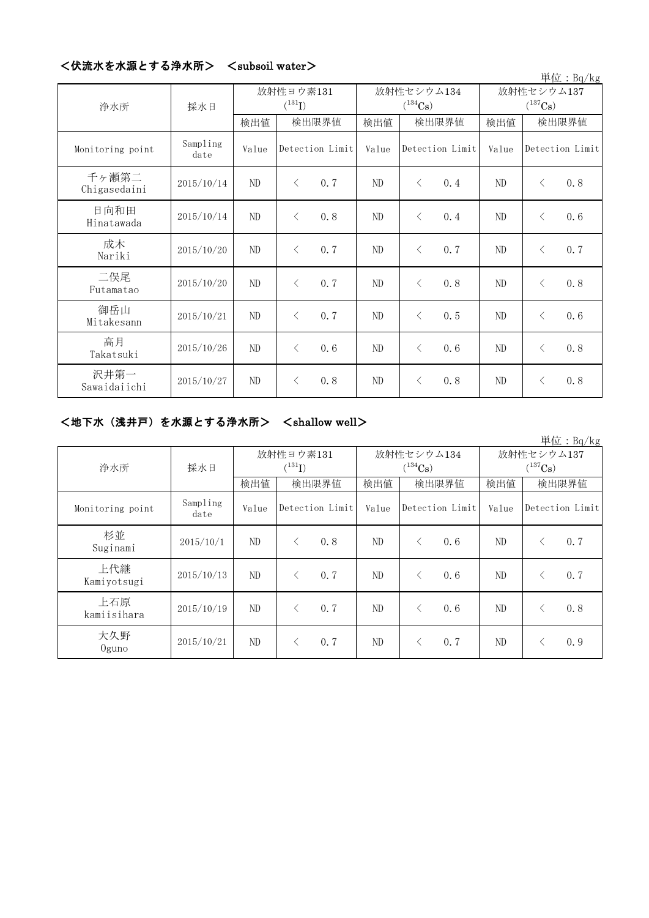|                       |                  | $\sim$ subsult water $\sim$ |                 |     |          |                            |     |                                     |           | 単位: $Bq/kg$     |
|-----------------------|------------------|-----------------------------|-----------------|-----|----------|----------------------------|-----|-------------------------------------|-----------|-----------------|
| 浄水所                   | 採水日              | 放射性ヨウ素131<br>$(^{131}I)$    |                 |     |          | 放射性セシウム134<br>$(^{134}Cs)$ |     | 放射性セシウム137<br>$(^{137}\mathrm{Cs})$ |           |                 |
|                       |                  | 検出値                         | 検出限界値           |     | 検出値      | 検出限界値                      |     | 検出値                                 | 検出限界値     |                 |
| Monitoring point      | Sampling<br>date | Value                       | Detection Limit |     | Value    | Detection Limit            |     | Value                               |           | Detection Limit |
| 千ヶ瀬第二<br>Chigasedaini | 2015/10/14       | ND                          | $\lt$           | 0.7 | ND       | $\langle$                  | 0.4 | ND                                  | $\langle$ | 0.8             |
| 日向和田<br>Hinatawada    | 2015/10/14       | ND                          | $\lt$           | 0.8 | ND       | $\langle$                  | 0.4 | ND                                  | $\langle$ | 0.6             |
| 成木<br>Nariki          | 2015/10/20       | ND                          | $\lt$           | 0.7 | ND       | $\lt$                      | 0.7 | ND                                  | $\langle$ | 0.7             |
| 二俣尾<br>Futamatao      | 2015/10/20       | ND                          | $\lt$           | 0.7 | ND       | $\lt$                      | 0.8 | ND                                  | $\langle$ | 0.8             |
| 御岳山<br>Mitakesann     | 2015/10/21       | ND                          | $\lt$           | 0.7 | ND       | $\langle$                  | 0.5 | ND                                  | $\langle$ | 0.6             |
| 高月<br>Takatsuki       | 2015/10/26       | ND                          | $\langle$       | 0.6 | ND       | $\langle$                  | 0.6 | ND                                  | $\langle$ | 0.8             |
| 沢井第一<br>Sawaidaiichi  | 2015/10/27       | ND                          | $\lt$           | 0.8 | $\rm ND$ | $\langle$                  | 0.8 | ND                                  | $\langle$ | 0.8             |

## <伏流水を水源とする浄水所> <subsoil water>

## <地下水(浅井戸)を水源とする浄水所> <shallow well>

|                    |                  |                          |                 |       |                            |                 |     |                            |                 | 単位: $Bq/kg$ |
|--------------------|------------------|--------------------------|-----------------|-------|----------------------------|-----------------|-----|----------------------------|-----------------|-------------|
| 浄水所                | 採水日              | 放射性ヨウ素131<br>$(^{131}I)$ |                 |       | 放射性セシウム134<br>$(^{134}Cs)$ |                 |     | 放射性セシウム137<br>$(^{137}Cs)$ |                 |             |
|                    |                  | 検出値                      |                 | 検出限界値 | 検出値                        | 検出限界値           |     | 検出値                        | 検出限界値           |             |
| Monitoring point   | Sampling<br>date | Value                    | Detection Limit |       | Value                      | Detection Limit |     | Value                      | Detection Limit |             |
| 杉並<br>Suginami     | 2015/10/1        | ND                       | $\langle$       | 0.8   | ND                         | $\lt$           | 0.6 | ND                         | $\lt$           | 0, 7        |
| 上代継<br>Kamiyotsugi | 2015/10/13       | ND                       |                 | 0.7   | ND                         | ✓               | 0.6 | ND                         | $\lt$           | 0, 7        |
| 上石原<br>kamiisihara | 2015/10/19       | ND                       | $\langle$       | 0.7   | ND                         | ⟨               | 0.6 | ND                         | $\lt$           | 0.8         |
| 大久野<br>$0$ guno    | 2015/10/21       | ND                       |                 | 0.7   | ND                         | $\lt$           | 0.7 | ND                         |                 | 0.9         |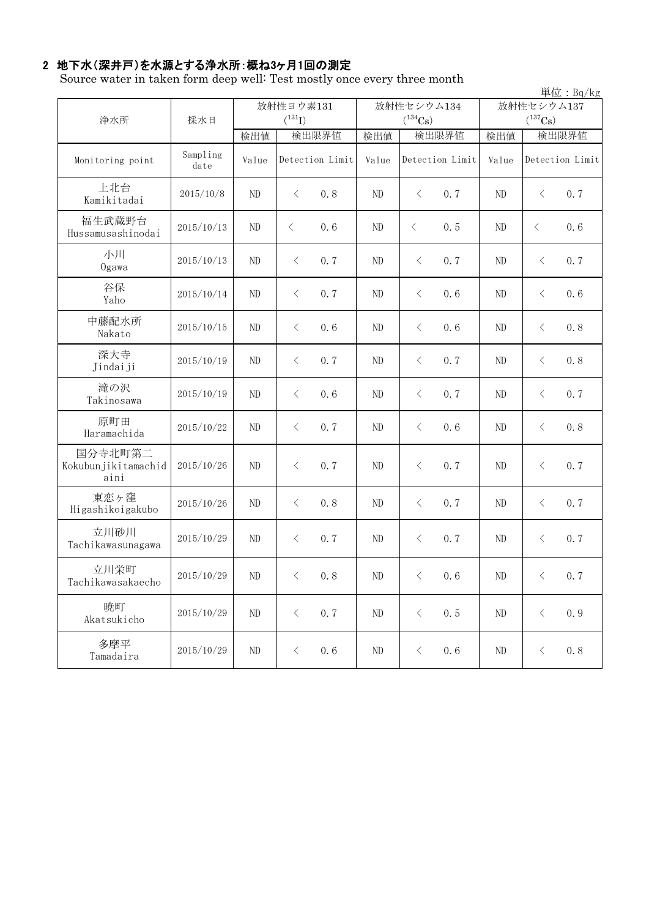# 2 地下水(深井戸)を水源とする浄水所:概ね3ヶ月1回の測定

Source water in taken form deep well: Test mostly once every three month

|                                        |                  |             |                  |     |              |                             |     |                |                 | 単位: Bq/kg |
|----------------------------------------|------------------|-------------|------------------|-----|--------------|-----------------------------|-----|----------------|-----------------|-----------|
| 浄水所                                    | 採水日              | 放射性ヨウ素131   |                  |     |              | 放射性セシウム134                  |     | 放射性セシウム137     |                 |           |
|                                        |                  | $(^{131}I)$ |                  |     | $(^{134}Cs)$ |                             |     | $(^{137}Cs)$   |                 |           |
|                                        |                  | 検出値         | 検出限界値            |     | 検出値          | 検出限界値                       |     | 検出値            |                 | 検出限界値     |
| Monitoring point                       | Sampling<br>date | Value       | Detection Limit  |     | Value        | Detection Limit             |     | Value          | Detection Limit |           |
| 上北台<br>Kamikitadai                     | 2015/10/8        | ND          | $\langle$<br>0.8 |     | ND           | $\lt$                       | 0.7 | ND             | $\langle$       | 0.7       |
| 福生武蔵野台<br>Hussamusashinodai            | 2015/10/13       | ND          | $\langle$        | 0.6 | ND           | $\langle$                   | 0.5 | ND             | $\langle$       | 0.6       |
| 小川<br>Ogawa                            | 2015/10/13       | ND          | $\langle$        | 0.7 | $\rm ND$     | $\langle$                   | 0.7 | ND             | $\lt$           | 0.7       |
| 谷保<br>Yaho                             | 2015/10/14       | ND          | $\langle$        | 0.7 | ND           | $\langle$                   | 0.6 | ND             | $\langle$       | 0.6       |
| 中藤配水所<br>Nakato                        | 2015/10/15       | ND          | $\lt$            | 0.6 | ND           | $\lt$                       | 0.6 | ND             | $\langle$       | 0.8       |
| 深大寺<br>Jindaiji                        | 2015/10/19       | ND          | $\langle$        | 0.7 | ND           | $\langle$                   | 0.7 | ND             | $\langle$       | 0.8       |
| 滝の沢<br>Takinosawa                      | 2015/10/19       | ND          | $\lt$            | 0.6 | ND           | $\langle$                   | 0.7 | ND             | $\lt$           | 0.7       |
| 原町田<br>Haramachida                     | 2015/10/22       | ND          | $\lt$            | 0.7 | ND           | $\lt$                       | 0.6 | N <sub>D</sub> | $\lt$           | 0.8       |
| 国分寺北町第二<br>Kokubunjikitamachid<br>aini | 2015/10/26       | ND          | $\lt$            | 0.7 | ND           | $\hspace{0.1mm}\big\langle$ | 0.7 | N <sub>D</sub> | $\langle$       | 0.7       |
| 東恋ヶ窪<br>Higashikoigakubo               | 2015/10/26       | ND          | $\langle$        | 0.8 | ND           | $\hspace{0.1mm}\big\langle$ | 0.7 | ND             | $\langle$       | 0.7       |
| 立川砂川<br>Tachikawasunagawa              | 2015/10/29       | ND          | $\langle$        | 0.7 | ND           | $\langle$                   | 0.7 | ND             | $\lt$           | 0.7       |
| 立川栄町<br>Tachikawasakaecho              | 2015/10/29       | ND          | $\langle$        | 0.8 | ND           | $\lt$                       | 0.6 | ND             | $\langle$       | 0, 7      |
| 暁町<br>Akatsukicho                      | 2015/10/29       | $\rm ND$    | $\langle$        | 0.7 | $\rm ND$     | $\langle$                   | 0.5 | $\rm ND$       | $\langle$       | 0.9       |
| 多摩平<br>Tamadaira                       | 2015/10/29       | $\rm ND$    | $\langle$        | 0.6 | $\rm ND$     | $\langle$                   | 0.6 | $\rm ND$       | $\, \leq$       | 0, 8      |